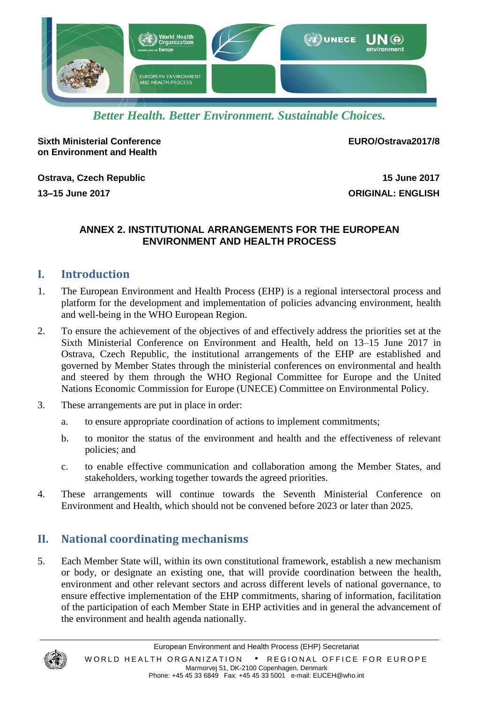

*Better Health. Better Environment. Sustainable Choices.*

**Sixth Ministerial Conference on Environment and Health**

**EURO/Ostrava2017/8**

**Ostrava, Czech Republic 15 June 2017**

**13–15 June 2017 ORIGINAL: ENGLISH**

#### **ANNEX 2. INSTITUTIONAL ARRANGEMENTS FOR THE EUROPEAN ENVIRONMENT AND HEALTH PROCESS**

## **I. Introduction**

- 1. The European Environment and Health Process (EHP) is a regional intersectoral process and platform for the development and implementation of policies advancing environment, health and well-being in the WHO European Region.
- 2. To ensure the achievement of the objectives of and effectively address the priorities set at the Sixth Ministerial Conference on Environment and Health, held on 13–15 June 2017 in Ostrava, Czech Republic, the institutional arrangements of the EHP are established and governed by Member States through the ministerial conferences on environmental and health and steered by them through the WHO Regional Committee for Europe and the United Nations Economic Commission for Europe (UNECE) Committee on Environmental Policy.
- 3. These arrangements are put in place in order:
	- a. to ensure appropriate coordination of actions to implement commitments;
	- b. to monitor the status of the environment and health and the effectiveness of relevant policies; and
	- c. to enable effective communication and collaboration among the Member States, and stakeholders, working together towards the agreed priorities.
- 4. These arrangements will continue towards the Seventh Ministerial Conference on Environment and Health, which should not be convened before 2023 or later than 2025.

# **II. National coordinating mechanisms**

5. Each Member State will, within its own constitutional framework, establish a new mechanism or body, or designate an existing one, that will provide coordination between the health, environment and other relevant sectors and across different levels of national governance, to ensure effective implementation of the EHP commitments, sharing of information, facilitation of the participation of each Member State in EHP activities and in general the advancement of the environment and health agenda nationally.

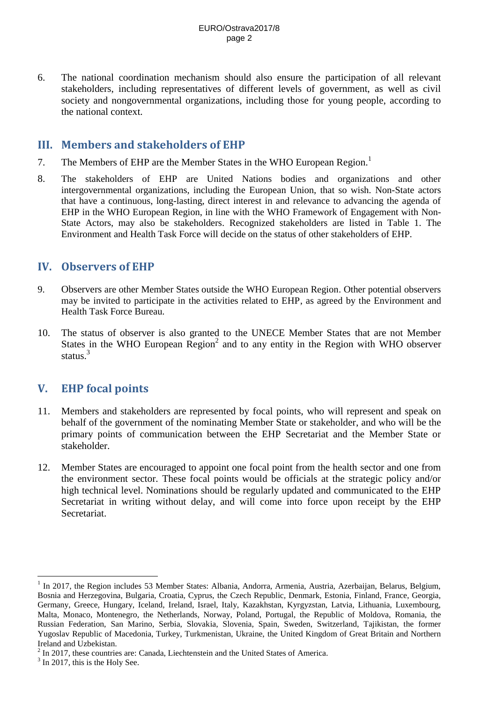6. The national coordination mechanism should also ensure the participation of all relevant stakeholders, including representatives of different levels of government, as well as civil society and nongovernmental organizations, including those for young people, according to the national context.

## **III. Members and stakeholders of EHP**

- 7. The Members of EHP are the Member States in the WHO European Region.<sup>1</sup>
- 8. The stakeholders of EHP are United Nations bodies and organizations and other intergovernmental organizations, including the European Union, that so wish. Non-State actors that have a continuous, long-lasting, direct interest in and relevance to advancing the agenda of EHP in the WHO European Region, in line with the WHO Framework of Engagement with Non-State Actors, may also be stakeholders. Recognized stakeholders are listed in Table 1. The Environment and Health Task Force will decide on the status of other stakeholders of EHP.

#### **IV. Observers of EHP**

- 9. Observers are other Member States outside the WHO European Region. Other potential observers may be invited to participate in the activities related to EHP, as agreed by the Environment and Health Task Force Bureau.
- 10. The status of observer is also granted to the UNECE Member States that are not Member States in the WHO European  $Region<sup>2</sup>$  and to any entity in the Region with WHO observer status.<sup>3</sup>

## **V. EHP focal points**

- 11. Members and stakeholders are represented by focal points, who will represent and speak on behalf of the government of the nominating Member State or stakeholder, and who will be the primary points of communication between the EHP Secretariat and the Member State or stakeholder.
- 12. Member States are encouraged to appoint one focal point from the health sector and one from the environment sector. These focal points would be officials at the strategic policy and/or high technical level. Nominations should be regularly updated and communicated to the EHP Secretariat in writing without delay, and will come into force upon receipt by the EHP Secretariat.

 $\overline{a}$ 

<sup>&</sup>lt;sup>1</sup> In 2017, the Region includes 53 Member States: Albania, Andorra, Armenia, Austria, Azerbaijan, Belarus, Belgium, Bosnia and Herzegovina, Bulgaria, Croatia, Cyprus, the Czech Republic, Denmark, Estonia, Finland, France, Georgia, Germany, Greece, Hungary, Iceland, Ireland, Israel, Italy, Kazakhstan, Kyrgyzstan, Latvia, Lithuania, Luxembourg, Malta, Monaco, Montenegro, the Netherlands, Norway, Poland, Portugal, the Republic of Moldova, Romania, the Russian Federation, San Marino, Serbia, Slovakia, Slovenia, Spain, Sweden, Switzerland, Tajikistan, the former Yugoslav Republic of Macedonia, Turkey, Turkmenistan, Ukraine, the United Kingdom of Great Britain and Northern Ireland and Uzbekistan.

 $2$  In 2017, these countries are: Canada, Liechtenstein and the United States of America.

 $3$  In 2017, this is the Holy See.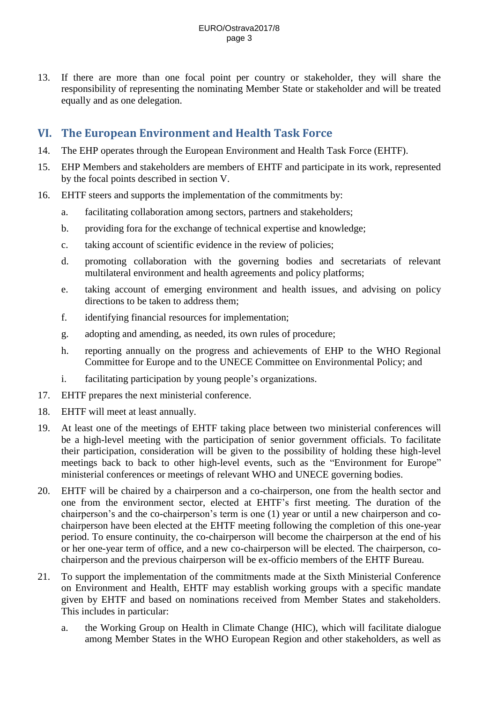13. If there are more than one focal point per country or stakeholder, they will share the responsibility of representing the nominating Member State or stakeholder and will be treated equally and as one delegation.

## **VI. The European Environment and Health Task Force**

- 14. The EHP operates through the European Environment and Health Task Force (EHTF).
- 15. EHP Members and stakeholders are members of EHTF and participate in its work, represented by the focal points described in section V.
- 16. EHTF steers and supports the implementation of the commitments by:
	- a. facilitating collaboration among sectors, partners and stakeholders;
	- b. providing fora for the exchange of technical expertise and knowledge;
	- c. taking account of scientific evidence in the review of policies;
	- d. promoting collaboration with the governing bodies and secretariats of relevant multilateral environment and health agreements and policy platforms;
	- e. taking account of emerging environment and health issues, and advising on policy directions to be taken to address them;
	- f. identifying financial resources for implementation;
	- g. adopting and amending, as needed, its own rules of procedure;
	- h. reporting annually on the progress and achievements of EHP to the WHO Regional Committee for Europe and to the UNECE Committee on Environmental Policy; and
	- i. facilitating participation by young people's organizations.
- 17. EHTF prepares the next ministerial conference.
- 18. EHTF will meet at least annually.
- 19. At least one of the meetings of EHTF taking place between two ministerial conferences will be a high-level meeting with the participation of senior government officials. To facilitate their participation, consideration will be given to the possibility of holding these high-level meetings back to back to other high-level events, such as the "Environment for Europe" ministerial conferences or meetings of relevant WHO and UNECE governing bodies.
- 20. EHTF will be chaired by a chairperson and a co-chairperson, one from the health sector and one from the environment sector, elected at EHTF's first meeting. The duration of the chairperson's and the co-chairperson's term is one (1) year or until a new chairperson and cochairperson have been elected at the EHTF meeting following the completion of this one-year period. To ensure continuity, the co-chairperson will become the chairperson at the end of his or her one-year term of office, and a new co-chairperson will be elected. The chairperson, cochairperson and the previous chairperson will be ex-officio members of the EHTF Bureau.
- 21. To support the implementation of the commitments made at the Sixth Ministerial Conference on Environment and Health, EHTF may establish working groups with a specific mandate given by EHTF and based on nominations received from Member States and stakeholders. This includes in particular:
	- a. the Working Group on Health in Climate Change (HIC), which will facilitate dialogue among Member States in the WHO European Region and other stakeholders, as well as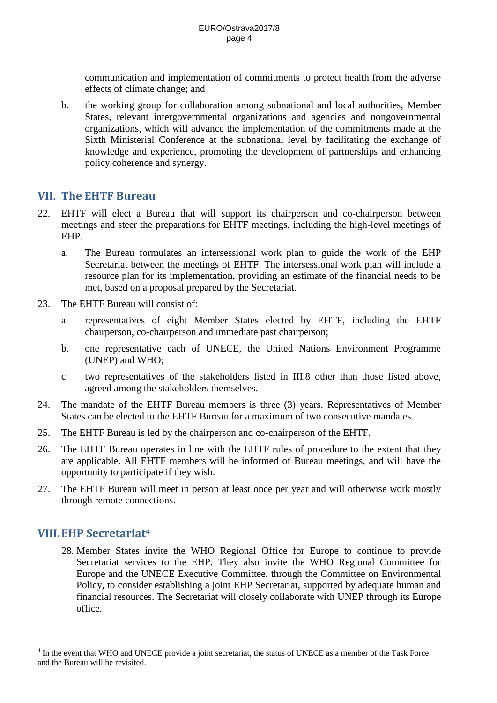communication and implementation of commitments to protect health from the adverse effects of climate change; and

b. the working group for collaboration among subnational and local authorities, Member States, relevant intergovernmental organizations and agencies and nongovernmental organizations, which will advance the implementation of the commitments made at the Sixth Ministerial Conference at the subnational level by facilitating the exchange of knowledge and experience, promoting the development of partnerships and enhancing policy coherence and synergy.

#### **VII. The EHTF Bureau**

- 22. EHTF will elect a Bureau that will support its chairperson and co-chairperson between meetings and steer the preparations for EHTF meetings, including the high-level meetings of EHP.
	- a. The Bureau formulates an intersessional work plan to guide the work of the EHP Secretariat between the meetings of EHTF. The intersessional work plan will include a resource plan for its implementation, providing an estimate of the financial needs to be met, based on a proposal prepared by the Secretariat.
- 23. The EHTF Bureau will consist of:
	- a. representatives of eight Member States elected by EHTF, including the EHTF chairperson, co-chairperson and immediate past chairperson;
	- b. one representative each of UNECE, the United Nations Environment Programme (UNEP) and WHO;
	- c. two representatives of the stakeholders listed in III.8 other than those listed above, agreed among the stakeholders themselves.
- 24. The mandate of the EHTF Bureau members is three (3) years. Representatives of Member States can be elected to the EHTF Bureau for a maximum of two consecutive mandates.
- 25. The EHTF Bureau is led by the chairperson and co-chairperson of the EHTF.
- 26. The EHTF Bureau operates in line with the EHTF rules of procedure to the extent that they are applicable. All EHTF members will be informed of Bureau meetings, and will have the opportunity to participate if they wish.
- 27. The EHTF Bureau will meet in person at least once per year and will otherwise work mostly through remote connections.

## **VIII.EHP Secretariat<sup>4</sup>**

 $\overline{a}$ 

28. Member States invite the WHO Regional Office for Europe to continue to provide Secretariat services to the EHP. They also invite the WHO Regional Committee for Europe and the UNECE Executive Committee, through the Committee on Environmental Policy, to consider establishing a joint EHP Secretariat, supported by adequate human and financial resources. The Secretariat will closely collaborate with UNEP through its Europe office.

<sup>&</sup>lt;sup>4</sup> In the event that WHO and UNECE provide a joint secretariat, the status of UNECE as a member of the Task Force and the Bureau will be revisited.